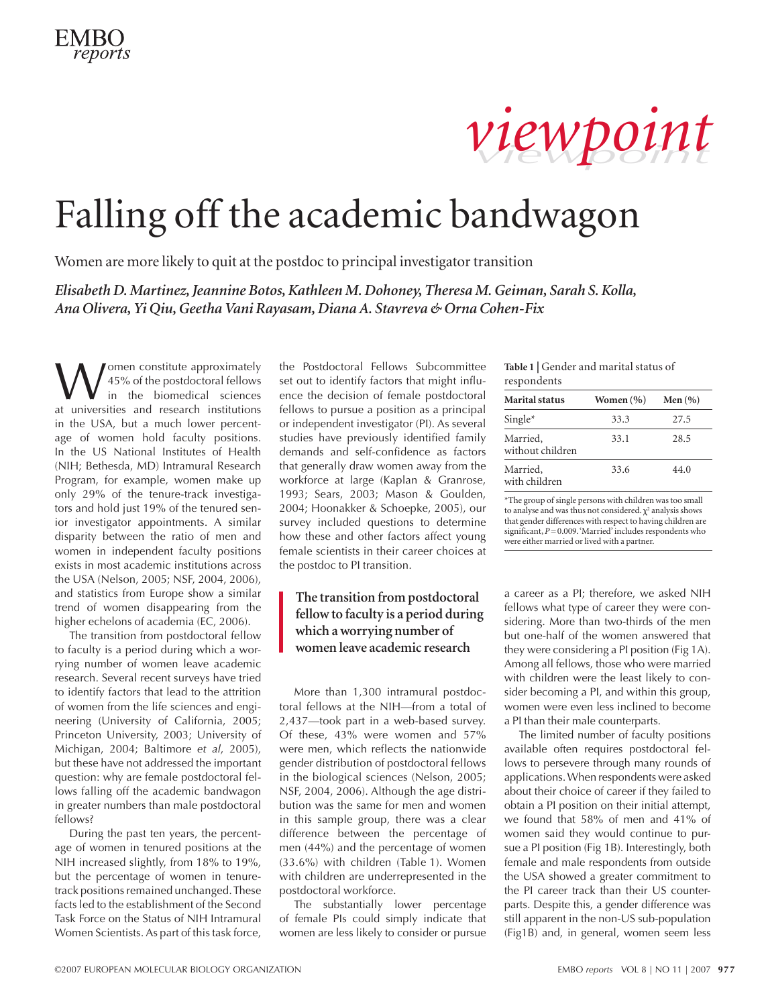# *viewpoint viewpoint*

# Falling off the academic bandwagon

Women are more likely to quit at the postdoc to principal investigator transition

*Elisabeth D. Martinez, Jeannine Botos, Kathleen M. Dohoney, Theresa M. Geiman, Sarah S. Kolla, Ana Olivera, Yi Qiu, Geetha Vani Rayasam, Diana A. Stavreva & Orna Cohen-Fix*

**W** 45% of the postdoctoral fellows<br>in the biomedical sciences<br>at universities and research institutions 45% of the postdoctoral fellows in the biomedical sciences at universities and research institutions in the USA, but a much lower percentage of women hold faculty positions. In the US National Institutes of Health (NIH; Bethesda, MD) Intramural Research Program, for example, women make up only 29% of the tenure-track investigators and hold just 19% of the tenured senior investigator appointments. A similar disparity between the ratio of men and women in independent faculty positions exists in most academic institutions across the USA (Nelson, 2005; NSF, 2004, 2006), and statistics from Europe show a similar trend of women disappearing from the higher echelons of academia (EC, 2006).

The transition from postdoctoral fellow to faculty is a period during which a worrying number of women leave academic research. Several recent surveys have tried to identify factors that lead to the attrition of women from the life sciences and engineering (University of California, 2005; Princeton University, 2003; University of Michigan, 2004; Baltimore *et al*, 2005), but these have not addressed the important question: why are female postdoctoral fellows falling off the academic bandwagon in greater numbers than male postdoctoral fellows?

During the past ten years, the percentage of women in tenured positions at the NIH increased slightly, from 18% to 19%, but the percentage of women in tenuretrack positions remained unchanged. These facts led to the establishment of the Second Task Force on the Status of NIH Intramural Women Scientists. As part of this task force,

the Postdoctoral Fellows Subcommittee set out to identify factors that might influence the decision of female postdoctoral fellows to pursue a position as a principal or independent investigator (PI). As several studies have previously identified family demands and self-confidence as factors that generally draw women away from the workforce at large (Kaplan & Granrose, 1993; Sears, 2003; Mason & Goulden, 2004; Hoonakker & Schoepke, 2005), our survey included questions to determine how these and other factors affect young female scientists in their career choices at the postdoc to PI transition.

## **The transition from postdoctoral fellow to faculty is a period during which a worrying number of women leave academic research**

More than 1,300 intramural postdoctoral fellows at the NIH—from a total of 2,437—took part in a web-based survey. Of these, 43% were women and 57% were men, which reflects the nationwide gender distribution of postdoctoral fellows in the biological sciences (Nelson, 2005; NSF, 2004, 2006). Although the age distribution was the same for men and women in this sample group, there was a clear difference between the percentage of men (44%) and the percentage of women (33.6%) with children (Table 1). Women with children are underrepresented in the postdoctoral workforce.

The substantially lower percentage of female PIs could simply indicate that women are less likely to consider or pursue **Table 1 |** Gender and marital status of respondents

| <b>Marital status</b>        | Women (%) | Men $(% )$ |
|------------------------------|-----------|------------|
|                              |           |            |
| $Single^*$                   | 33.3      | 27.5       |
| Married,<br>without children | 33.1      | 28.5       |
| Married,<br>with children    | 33.6      | 44.0       |

\*The group of single persons with children was too small to analyse and was thus not considered.  $\chi^2$  analysis shows that gender differences with respect to having children are significant,  $P=0.009$ . 'Married' includes respondents who were either married or lived with a partner.

a career as a PI; therefore, we asked NIH fellows what type of career they were considering. More than two-thirds of the men but one-half of the women answered that they were considering a PI position (Fig 1A). Among all fellows, those who were married with children were the least likely to consider becoming a PI, and within this group, women were even less inclined to become a PI than their male counterparts.

The limited number of faculty positions available often requires postdoctoral fellows to persevere through many rounds of applications. When respondents were asked about their choice of career if they failed to obtain a PI position on their initial attempt, we found that 58% of men and 41% of women said they would continue to pursue a PI position (Fig 1B). Interestingly, both female and male respondents from outside the USA showed a greater commitment to the PI career track than their US counterparts. Despite this, a gender difference was still apparent in the non-US sub-population (Fig1B) and, in general, women seem less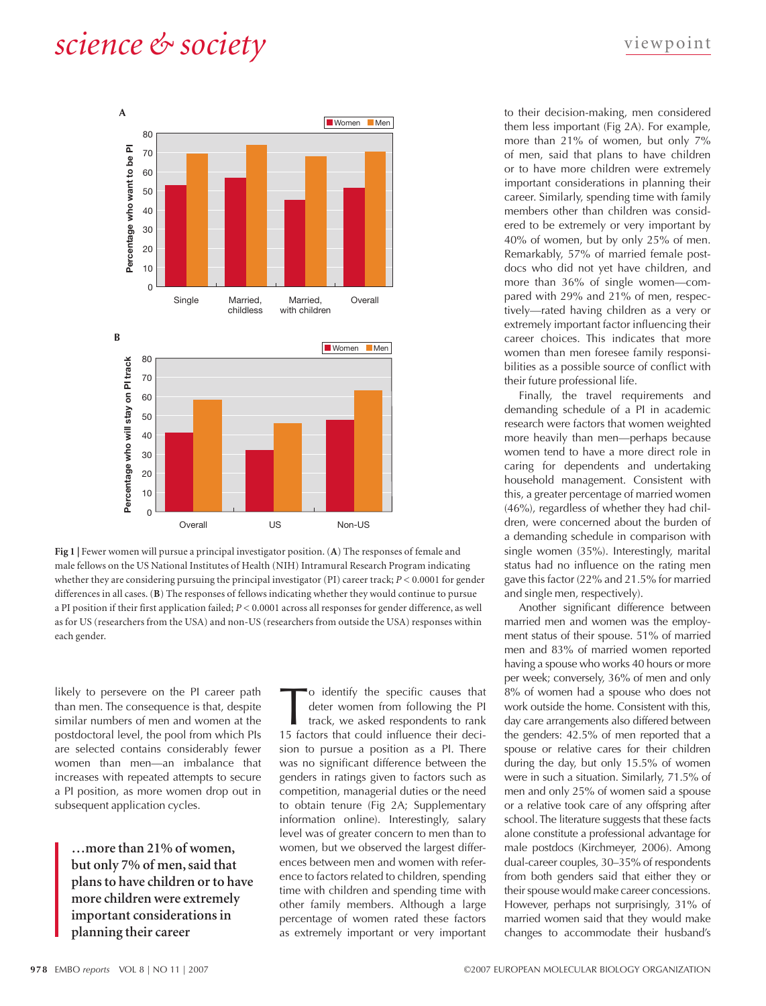# *science & society* viewpoint



**Fig 1 |** Fewer women will pursue a principal investigator position. (**A**) The responses of female and male fellows on the US National Institutes of Health (NIH) Intramural Research Program indicating whether they are considering pursuing the principal investigator (PI) career track; *P* < 0.0001 for gender differences in all cases. (**B**) The responses of fellows indicating whether they would continue to pursue a PI position if their first application failed; *P* < 0.0001 across all responses for gender difference, as well as for US (researchers from the USA) and non-US (researchers from outside the USA) responses within each gender.

likely to persevere on the PI career path than men. The consequence is that, despite similar numbers of men and women at the postdoctoral level, the pool from which PIs are selected contains considerably fewer women than men—an imbalance that increases with repeated attempts to secure a PI position, as more women drop out in subsequent application cycles.

**…more than 21% of women, but only 7% of men, said that plans to have children or to have more children were extremely important considerations in planning their career**

o identify the specific causes that deter women from following the PI track, we asked respondents to rank 15 factors that could influence their decision to pursue a position as a PI. There was no significant difference between the genders in ratings given to factors such as competition, managerial duties or the need to obtain tenure (Fig 2A; Supplementary information online). Interestingly, salary level was of greater concern to men than to women, but we observed the largest differences between men and women with reference to factors related to children, spending time with children and spending time with other family members. Although a large percentage of women rated these factors as extremely important or very important

to their decision-making, men considered them less important (Fig 2A). For example, more than 21% of women, but only 7% of men, said that plans to have children or to have more children were extremely important considerations in planning their career. Similarly, spending time with family members other than children was considered to be extremely or very important by 40% of women, but by only 25% of men. Remarkably, 57% of married female postdocs who did not yet have children, and more than 36% of single women—compared with 29% and 21% of men, respectively—rated having children as a very or extremely important factor influencing their career choices. This indicates that more women than men foresee family responsibilities as a possible source of conflict with their future professional life.

Finally, the travel requirements and demanding schedule of a PI in academic research were factors that women weighted more heavily than men—perhaps because women tend to have a more direct role in caring for dependents and undertaking household management. Consistent with this, a greater percentage of married women (46%), regardless of whether they had children, were concerned about the burden of a demanding schedule in comparison with single women (35%). Interestingly, marital status had no influence on the rating men gave this factor (22% and 21.5% for married and single men, respectively).

Another significant difference between married men and women was the employment status of their spouse. 51% of married men and 83% of married women reported having a spouse who works 40 hours or more per week; conversely, 36% of men and only 8% of women had a spouse who does not work outside the home. Consistent with this, day care arrangements also differed between the genders: 42.5% of men reported that a spouse or relative cares for their children during the day, but only 15.5% of women were in such a situation. Similarly, 71.5% of men and only 25% of women said a spouse or a relative took care of any offspring after school. The literature suggests that these facts alone constitute a professional advantage for male postdocs (Kirchmeyer, 2006). Among dual-career couples, 30–35% of respondents from both genders said that either they or their spouse would make career concessions. However, perhaps not surprisingly, 31% of married women said that they would make changes to accommodate their husband's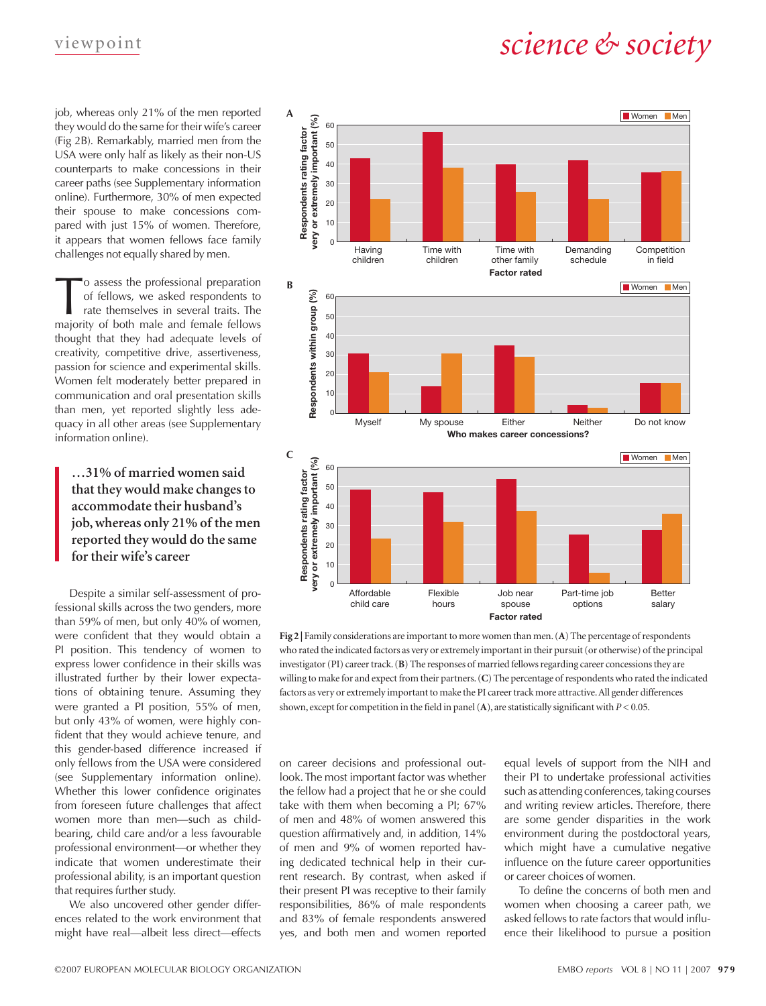# v iew point *science & society*

job, whereas only 21% of the men reported they would do the same for their wife's career (Fig 2B). Remarkably, married men from the USA were only half as likely as their non-US counterparts to make concessions in their career paths (see Supplementary information online). Furthermore, 30% of men expected their spouse to make concessions compared with just 15% of women. Therefore, it appears that women fellows face family challenges not equally shared by men.

o assess the professional preparation of fellows, we asked respondents to rate themselves in several traits. The majority of both male and female fellows thought that they had adequate levels of creativity, competitive drive, assertiveness, passion for science and experimental skills. Women felt moderately better prepared in communication and oral presentation skills than men, yet reported slightly less adequacy in all other areas (see Supplementary information online).

## **…31% of married women said that they would make changes to accommodate their husband's job, whereas only 21% of the men reported they would do the same for their wife's career**

Despite a similar self-assessment of professional skills across the two genders, more than 59% of men, but only 40% of women, were confident that they would obtain a PI position. This tendency of women to express lower confidence in their skills was illustrated further by their lower expectations of obtaining tenure. Assuming they were granted a PI position, 55% of men, but only 43% of women, were highly confident that they would achieve tenure, and this gender-based difference increased if only fellows from the USA were considered (see Supplementary information online). Whether this lower confidence originates from foreseen future challenges that affect women more than men—such as childbearing, child care and/or a less favourable professional environment—or whether they indicate that women underestimate their professional ability, is an important question that requires further study.

We also uncovered other gender differences related to the work environment that might have real—albeit less direct—effects



**Fig 2 |** Family considerations are important to more women than men. (**A**) The percentage of respondents who rated the indicated factors as very or extremely important in their pursuit (or otherwise) of the principal investigator (PI) career track. (**B**) The responses of married fellows regarding career concessions they are willing to make for and expect from their partners. (**C**) The percentage of respondents who rated the indicated factors as very or extremely important to make the PI career track more attractive. All gender differences shown, except for competition in the field in panel (**A**), are statistically significant with *P* < 0.05.

on career decisions and professional outlook. The most important factor was whether the fellow had a project that he or she could take with them when becoming a PI; 67% of men and 48% of women answered this question affirmatively and, in addition, 14% of men and 9% of women reported having dedicated technical help in their current research. By contrast, when asked if their present PI was receptive to their family responsibilities, 86% of male respondents and 83% of female respondents answered yes, and both men and women reported equal levels of support from the NIH and their PI to undertake professional activities such as attending conferences, taking courses and writing review articles. Therefore, there are some gender disparities in the work environment during the postdoctoral years, which might have a cumulative negative influence on the future career opportunities or career choices of women.

To define the concerns of both men and women when choosing a career path, we asked fellows to rate factors that would influence their likelihood to pursue a position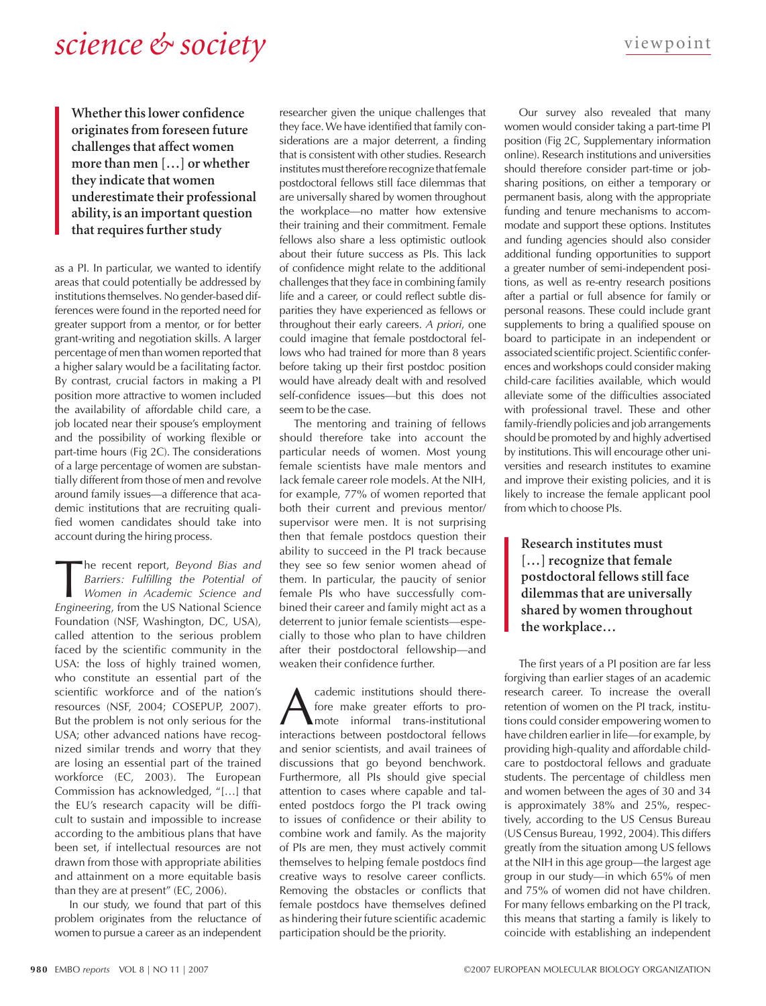## *science & society* viewpoint

**Whether this lower confidence originates from foreseen future challenges that affect women more than men […] or whether they indicate that women underestimate their professional ability, is an important question that requires further study**

as a PI. In particular, we wanted to identify areas that could potentially be addressed by institutions themselves. No gender-based differences were found in the reported need for greater support from a mentor, or for better grant-writing and negotiation skills. A larger percentage of men than women reported that a higher salary would be a facilitating factor. By contrast, crucial factors in making a PI position more attractive to women included the availability of affordable child care, a job located near their spouse's employment and the possibility of working flexible or part-time hours (Fig 2C). The considerations of a large percentage of women are substantially different from those of men and revolve around family issues—a difference that academic institutions that are recruiting qualified women candidates should take into account during the hiring process.

The recent report, *Beyond Bias and Barriers: Fulfilling the Potential of Women in Academic Science and Fregionesing from the US National Science Barriers: Fulfilling the Potential of Women in Academic Science and Engineering*, from the US National Science Foundation (NSF, Washington, DC, USA), called attention to the serious problem faced by the scientific community in the USA: the loss of highly trained women, who constitute an essential part of the scientific workforce and of the nation's resources (NSF, 2004; COSEPUP, 2007). But the problem is not only serious for the USA; other advanced nations have recognized similar trends and worry that they are losing an essential part of the trained workforce (EC, 2003). The European Commission has acknowledged, "[…] that the EU's research capacity will be difficult to sustain and impossible to increase according to the ambitious plans that have been set, if intellectual resources are not drawn from those with appropriate abilities and attainment on a more equitable basis than they are at present" (EC, 2006).

In our study, we found that part of this problem originates from the reluctance of women to pursue a career as an independent

researcher given the unique challenges that they face. We have identified that family considerations are a major deterrent, a finding that is consistent with other studies. Research institutes must therefore recognize that female postdoctoral fellows still face dilemmas that are universally shared by women throughout the workplace—no matter how extensive their training and their commitment. Female fellows also share a less optimistic outlook about their future success as PIs. This lack of confidence might relate to the additional challenges that they face in combining family life and a career, or could reflect subtle disparities they have experienced as fellows or throughout their early careers. *A priori*, one could imagine that female postdoctoral fellows who had trained for more than 8 years before taking up their first postdoc position would have already dealt with and resolved self-confidence issues—but this does not seem to be the case.

The mentoring and training of fellows should therefore take into account the particular needs of women. Most young female scientists have male mentors and lack female career role models. At the NIH, for example, 77% of women reported that both their current and previous mentor/ supervisor were men. It is not surprising then that female postdocs question their ability to succeed in the PI track because they see so few senior women ahead of them. In particular, the paucity of senior female PIs who have successfully combined their career and family might act as a deterrent to junior female scientists—especially to those who plan to have children after their postdoctoral fellowship—and weaken their confidence further.

cademic institutions should therefore make greater efforts to promote informal trans-institutional interactions between postdoctoral fellows and senior scientists, and avail trainees of discussions that go beyond benchwork. Furthermore, all PIs should give special attention to cases where capable and talented postdocs forgo the PI track owing to issues of confidence or their ability to combine work and family. As the majority of PIs are men, they must actively commit themselves to helping female postdocs find creative ways to resolve career conflicts. Removing the obstacles or conflicts that female postdocs have themselves defined as hindering their future scientific academic participation should be the priority.

Our survey also revealed that many women would consider taking a part-time PI position (Fig 2C, Supplementary information online). Research institutions and universities should therefore consider part-time or jobsharing positions, on either a temporary or permanent basis, along with the appropriate funding and tenure mechanisms to accommodate and support these options. Institutes and funding agencies should also consider additional funding opportunities to support a greater number of semi-independent positions, as well as re-entry research positions after a partial or full absence for family or personal reasons. These could include grant supplements to bring a qualified spouse on board to participate in an independent or associated scientific project. Scientific conferences and workshops could consider making child-care facilities available, which would alleviate some of the difficulties associated with professional travel. These and other family-friendly policies and job arrangements should be promoted by and highly advertised by institutions. This will encourage other universities and research institutes to examine and improve their existing policies, and it is likely to increase the female applicant pool from which to choose PIs.

**Research institutes must […] recognize that female postdoctoral fellows still face dilemmas that are universally shared by women throughout the workplace…**

The first years of a PI position are far less forgiving than earlier stages of an academic research career. To increase the overall retention of women on the PI track, institutions could consider empowering women to have children earlier in life—for example, by providing high-quality and affordable childcare to postdoctoral fellows and graduate students. The percentage of childless men and women between the ages of 30 and 34 is approximately 38% and 25%, respectively, according to the US Census Bureau (US Census Bureau, 1992, 2004). This differs greatly from the situation among US fellows at the NIH in this age group—the largest age group in our study—in which 65% of men and 75% of women did not have children. For many fellows embarking on the PI track, this means that starting a family is likely to coincide with establishing an independent